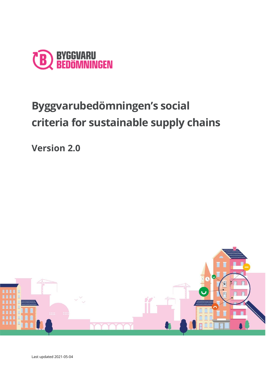

# **Byggvarubedömningen's social criteria for sustainable supply chains**

**Version 2.0**

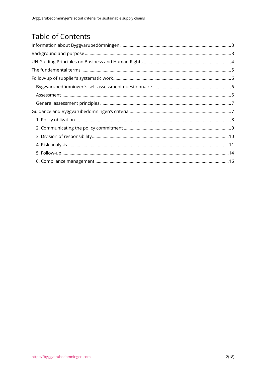# **Table of Contents**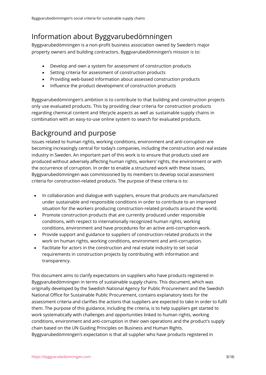# <span id="page-2-0"></span>Information about Byggvarubedömningen

Byggvarubedömningen is a non-profit business association owned by Sweden's major property owners and building contractors. Byggvarubedömningen's mission is to:

- Develop and own a system for assessment of construction products
- Setting criteria for assessment of construction products
- Providing web-based information about assessed construction products
- Influence the product development of construction products

Byggvarubedömningen's ambition is to contribute to that building and construction projects only use evaluated products. This by providing clear criteria for construction products regarding chemical content and lifecycle aspects as well as sustainable supply chains in combination with an easy-to-use online system to search for evaluated products.

# <span id="page-2-1"></span>Background and purpose

Issues related to human rights, working conditions, environment and anti-corruption are becoming increasingly central for today's companies, including the construction and real estate industry in Sweden. An important part of this work is to ensure that products used are produced without adversely affecting human rights, workers' rights, the environment or with the occurrence of corruption. In order to enable a structured work with these issues, Byggvarubedömningen was commissioned by its members to develop social assessment criteria for construction-related products. The purpose of these criteria is to:

- In collaboration and dialogue with suppliers, ensure that products are manufactured under sustainable and responsible conditions in order to contribute to an improved situation for the workers producing construction-related products around the world.
- Promote construction products that are currently produced under responsible conditions, with respect to internationally recognized human rights, working conditions, environment and have procedures for an active anti-corruption-work.
- Provide support and guidance to suppliers of construction-related products in the work on human rights, working conditions, environment and anti-corruption.
- Facilitate for actors in the construction and real estate industry to set social requirements in construction projects by contributing with information and transparency.

This document aims to clarify expectations on suppliers who have products registered in Byggvarubedömningen in terms of sustainable supply chains. This document, which was originally developed by the Swedish National Agency for Public Procurement and the Swedish National Office for Sustainable Public Procurement, contains explanatory texts for the assessment criteria and clarifies the actions that suppliers are expected to take in order to fulfil them. The purpose of this guidance, including the criteria, is to help suppliers get started to work systematically with challenges and opportunities linked to human rights, working conditions, environment and anti-corruption in their own operations and the product's supply chain based on the UN Guiding Principles on Business and Human Rights. Byggvarubedömningen's expectation is that all supplier who have products registered in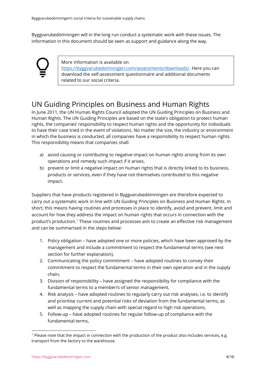Byggvarubedömningen will in the long run conduct a systematic work with these issues. The information in this document should be seen as support and guidance along the way.



More information is available on [https://byggvarubedomningen.com/assessments/downloads/.](https://byggvarubedomningen.com/assessments/downloads/) Here you can download the self-assessment questionnaire and additional documents related to our social criteria.

# <span id="page-3-0"></span>UN Guiding Principles on Business and Human Rights

In June 2011, the UN Human Rights Council adopted the UN Guiding Principles on Business and Human Rights. The UN Guiding Principles are based on the state's obligation to protect human rights, the companies' responsibility to respect human rights and the opportunity for individuals to have their case tried in the event of violations. No matter the size, the industry or environment in which the business is conducted, all companies have a responsibility to respect human rights. This responsibility means that companies shall:

- a) avoid causing or contributing to negative impact on human rights arising from its own operations and remedy such impact if it arises,
- b) prevent or limit a negative impact on human rights that is directly linked to its business, products or services, even if they have not themselves contributed to this negative impact.

Suppliers that have products registered in Byggvarubedömningen are therefore expected to carry out a systematic work in line with UN Guiding Principles on Business and Human Rights. In short, this means having routines and processes in place to identify, avoid and prevent, limit and account for how they address the impact on human rights that occurs in connection with the product's production.<sup>1</sup> These routines and processes aim to create an effective risk management and can be summarised in the steps below:

- 1. Policy obligation have adopted one or more policies, which have been approved by the management and include a commitment to respect the fundamental terms (see next section for further explanation),
- 2. Communicating the policy commitment have adopted routines to convey their commitment to respect the fundamental terms in their own operation and in the supply chain,
- 3. Division of responsibility have assigned the responsibility for compliance with the fundamental terms to a member/s of senior management,
- 4. Risk analysis have adopted routines to regularly carry out risk analyses, i.e. to identify and prioritise current and potential risks of deviation from the fundamental terms, as well as mapping the supply chain with special regard to high risk operations,
- 5. Follow-up have adopted routines for regular follow-up of compliance with the fundamental terms,

<sup>1</sup> Please note that the impact in connection with the production of the product also includes services, e.g. transport from the factory to the warehouse.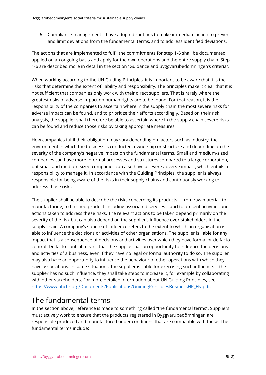6. Compliance management – have adopted routines to make immediate action to prevent and limit deviations from the fundamental terms, and to address identified deviations.

The actions that are implemented to fulfil the commitments for step 1-6 shall be documented, applied on an ongoing basis and apply for the own operations and the entire supply chain. Step 1-6 are described more in detail in the section "Guidance and Byggvarubedömningen's criteria".

When working according to the UN Guiding Principles, it is important to be aware that it is the risks that determine the extent of liability and responsibility. The principles make it clear that it is not sufficient that companies only work with their direct suppliers. That is rarely where the greatest risks of adverse impact on human rights are to be found. For that reason, it is the responsibility of the companies to ascertain where in the supply chain the most severe risks for adverse impact can be found, and to prioritize their efforts accordingly. Based on their risk analysis, the supplier shall therefore be able to ascertain where in the supply chain severe risks can be found and reduce those risks by taking appropriate measures.

How companies fulfil their obligation may vary depending on factors such as industry, the environment in which the business is conducted, ownership or structure and depending on the severity of the company's negative impact on the fundamental terms. Small and medium-sized companies can have more informal processes and structures compared to a large corporation, but small and medium-sized companies can also have a severe adverse impact, which entails a responsibility to manage it. In accordance with the Guiding Principles, the supplier is always responsible for being aware of the risks in their supply chains and continuously working to address those risks.

The supplier shall be able to describe the risks concerning its products – from raw material, to manufacturing, to finished product including associated services – and to present activities and actions taken to address these risks. The relevant actions to be taken depend primarily on the severity of the risk but can also depend on the supplier's influence over stakeholders in the supply chain. A company's sphere of influence refers to the extent to which an organisation is able to influence the decisions or activities of other organisations. The supplier is liable for any impact that is a consequence of decisions and activities over which they have formal or de factocontrol. De facto-control means that the supplier has an opportunity to influence the decisions and activities of a business, even if they have no legal or formal authority to do so. The supplier may also have an opportunity to influence the behaviour of other operations with which they have associations. In some situations, the supplier is liable for exercising such influence. If the supplier has no such influence, they shall take steps to increase it, for example by collaborating with other stakeholders. For more detailed information about UN Guiding Principles, see [https://www.ohchr.org/Documents/Publications/GuidingPrinciplesBusinessHR\\_EN.pdf.](https://www.ohchr.org/Documents/Publications/GuidingPrinciplesBusinessHR_EN.pdf)

# <span id="page-4-0"></span>The fundamental terms

In the section above, reference is made to something called "the fundamental terms". Suppliers must actively work to ensure that the products registered in Byggvarubedömningen are responsible produced and manufactured under conditions that are compatible with these. The fundamental terms include: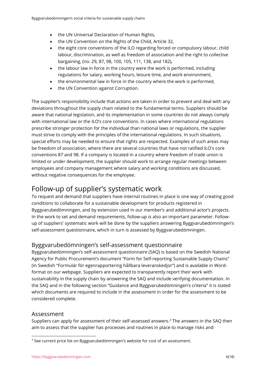- the UN Universal Declaration of Human Rights,
- the UN Convention on the Rights of the Child, Article 32,
- the eight core conventions of the ILO regarding forced or compulsory labour, child labour, discrimination, as well as freedom of association and the right to collective bargaining, (no. 29, 87, 98, 100, 105, 111, 138, and 182),
- the labour law in force in the country were the work is performed, including regulations for salary, working hours, leisure time, and work environment,
- the environmental law in force in the country where the work is performed,
- the UN Convention against Corruption.

The supplier's responsibility include that actions are taken in order to prevent and deal with any deviations throughout the supply chain related to the fundamental terms. Suppliers should be aware that national legislation, and its implementation in some countries do not always comply with international law or the ILO's core conventions. In cases where international regulations prescribe stronger protection for the individual than national laws or regulations, the supplier must strive to comply with the principles of the international regulations. In such situations, special efforts may be needed to ensure that rights are respected. Examples of such areas may be freedom of association, where there are several countries that have not ratified ILO's core conventions 87 and 98. If a company is located in a country where freedom of trade union is limited or under development, the supplier should work to arrange regular meetings between employees and company management where salary and working conditions are discussed, without negative consequences for the employee.

# <span id="page-5-0"></span>Follow-up of supplier's systematic work

To request and demand that suppliers have internal routines in place is one way of creating good conditions to collaborate for a sustainable development for products registered in Byggvarubedömningen, and by extension used in our member's and additional actor's projects. In the work to set and demand requirements, follow-up is also an important parameter. Followup of suppliers' systematic work will be done by the suppliers answering Byggvarubedömningen's self-assessment questionnaire, which in turn is assessed by Byggvarubedömningen.

### <span id="page-5-1"></span>Byggvarubedömningen's self-assessment questionnaire

Byggvarubedömningen's self-assessment questionnaire (SAQ) is based on the Swedish National Agency for Public Procurement's document "Form for Self-reporting Sustainable Supply Chains" (in Swedish "Formulär för egenrapportering hållbara leveranskedjor") and is available in Wordformat on our webpage. Suppliers are expected to transparently report their work with sustainability in the supply chain by answering the SAQ and include verifying documentation. In the SAQ and in the following section "Guidance and Byggvarubedömningen's criteria" it is stated which documents are required to include in the assessment in order for the assessment to be considered complete.

#### <span id="page-5-2"></span>Assessment

Suppliers can apply for assessment of their self-assessed answers. <sup>2</sup> The answers in the SAQ then aim to assess that the supplier has processes and routines in place to manage risks and

<sup>2</sup> See current price list on Byggvarubedömningen's website for cost of an assessment.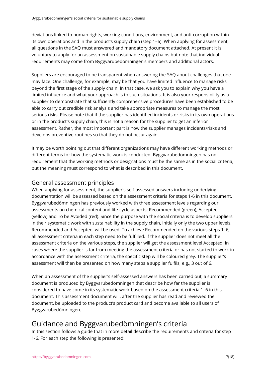deviations linked to human rights, working conditions, environment, and anti-corruption within its own operations and in the product's supply chain (step 1–6). When applying for assessment, all questions in the SAQ must answered and mandatory document attached. At present it is voluntary to apply for an assessment on sustainable supply chains but note that individual requirements may come from Byggvarubedömningen's members and additional actors.

Suppliers are encouraged to be transparent when answering the SAQ about challenges that one may face. One challenge, for example, may be that you have limited influence to manage risks beyond the first stage of the supply chain. In that case, we ask you to explain why you have a limited influence and what your approach is to such situations. It is also your responsibility as a supplier to demonstrate that sufficiently comprehensive procedures have been established to be able to carry out credible risk analysis and take appropriate measures to manage the most serious risks. Please note that if the supplier has identified incidents or risks in its own operations or in the product's supply chain, this is not a reason for the supplier to get an inferior assessment. Rather, the most important part is how the supplier manages incidents/risks and develops preventive routines so that they do not occur again.

It may be worth pointing out that different organizations may have different working methods or different terms for how the systematic work is conducted. Byggvarubedömningen has no requirement that the working methods or designations must be the same as in the social criteria, but the meaning must correspond to what is described in this document.

### <span id="page-6-0"></span>General assessment principles

When applying for assessment, the supplier's self-assessed answers including underlying documentation will be assessed based on the assessment criteria for steps 1-6 in this document. Byggvarubedömningen has previously worked with three assessment levels regarding our assessments on chemical content and life-cycle aspects: Recommended (green), Accepted (yellow) and To be Avoided (red). Since the purpose with the social criteria is to develop suppliers in their systematic work with sustainability in the supply chain, initially only the two upper levels, Recommended and Accepted, will be used. To achieve Recommended on the various steps 1–6, all assessment criteria in each step need to be fulfilled. If the supplier does not meet all the assessment criteria on the various steps, the supplier will get the assessment level Accepted. In cases where the supplier is far from meeting the assessment criteria or has not started to work in accordance with the assessment criteria, the specific step will be coloured grey. The supplier's assessment will then be presented on how many steps a supplier fulfils, e.g., 3 out of 6.

When an assessment of the supplier's self-assessed answers has been carried out, a summary document is produced by Byggvarubedömningen that describe how far the supplier is considered to have come in its systematic work based on the assessment criteria 1–6 in this document. This assessment document will, after the supplier has read and reviewed the document, be uploaded to the product's product card and become available to all users of Byggvarubedömningen.

# <span id="page-6-1"></span>Guidance and Byggvarubedömningen's criteria

In this section follows a guide that in more detail describe the requirements and criteria for step 1-6. For each step the following is presented: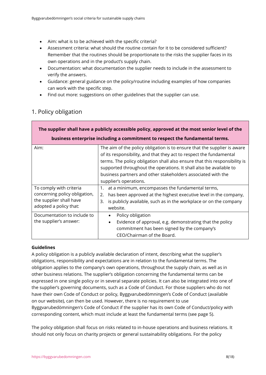- Aim: what is to be achieved with the specific criteria?
- Assessment criteria: what should the routine contain for it to be considered sufficient? Remember that the routines should be proportionate to the risks the supplier faces in its own operations and in the product's supply chain.
- Documentation: what documentation the supplier needs to include in the assessment to verify the answers.
- Guidance: general guidance on the policy/routine including examples of how companies can work with the specific step.
- Find out more: suggestions on other guidelines that the supplier can use.

| The supplier shall have a publicly accessible policy, approved at the most senior level of the                |                                                                                                                                                                                                                                                                                                                                                                                               |  |  |
|---------------------------------------------------------------------------------------------------------------|-----------------------------------------------------------------------------------------------------------------------------------------------------------------------------------------------------------------------------------------------------------------------------------------------------------------------------------------------------------------------------------------------|--|--|
| business enterprise including a commitment to respect the fundamental terms.                                  |                                                                                                                                                                                                                                                                                                                                                                                               |  |  |
| Aim:                                                                                                          | The aim of the policy obligation is to ensure that the supplier is aware<br>of its responsibility, and that they act to respect the fundamental<br>terms. The policy obligation shall also ensure that this responsibility is<br>supported throughout the operations. It shall also be available to<br>business partners and other stakeholders associated with the<br>supplier's operations. |  |  |
| To comply with criteria<br>concerning policy obligation,<br>the supplier shall have<br>adopted a policy that: | at a minimum, encompasses the fundamental terms,<br>has been approved at the highest executive level in the company,<br>2.<br>is publicly available, such as in the workplace or on the company<br>3.<br>website.                                                                                                                                                                             |  |  |
| Documentation to include to<br>the supplier's answer:                                                         | Policy obligation<br>Evidence of approval, e.g. demonstrating that the policy<br>$\bullet$<br>commitment has been signed by the company's<br>CEO/Chairman of the Board.                                                                                                                                                                                                                       |  |  |

### <span id="page-7-0"></span>1. Policy obligation

#### **Guidelines**

A policy obligation is a publicly available declaration of intent, describing what the supplier's obligations, responsibility and expectations are in relation to the fundamental terms. The obligation applies to the company's own operations, throughout the supply chain, as well as in other business relations. The supplier's obligation concerning the fundamental terms can be expressed in one single policy or in several separate policies. It can also be integrated into one of the supplier's governing documents, such as a Code of Conduct. For those suppliers who do not have their own Code of Conduct or policy, Byggvarubedömningen's Code of Conduct (available on our website), can then be used. However, there is no requirement to use Byggvarubedömningen's Code of Conduct if the supplier has its own Code of Conduct/policy with corresponding content, which must include at least the fundamental terms (see page 5).

The policy obligation shall focus on risks related to in-house operations and business relations. It should not only focus on charity projects or general sustainability obligations. For the policy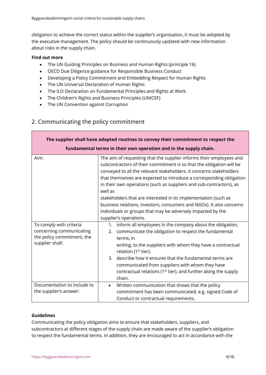obligation to achieve the correct status within the supplier's organisation, it must be adopted by the executive management. The policy should be continuously updated with new information about risks in the supply chain.

#### **Find out more**

- The UN Guiding Principles on Business and Human Rights (principle 16)
- OECD Due Diligence guidance for Responsible Business Conduct
- Developing a Policy Commitment and Embedding Respect for Human Rights
- The UN Universal Declaration of Human Rights
- The ILO Declaration on Fundamental Principles and Rights at Work
- The Children's Rights and Business Principles (UNICEF)
- The UN Convention against Corruption

### <span id="page-8-0"></span>2. Communicating the policy commitment

| The supplier shall have adopted routines to convey their commitment to respect the                   |                                                                                                                                                                                                                                                                                                                                                                                                                                                                                                                                                                                                                  |  |
|------------------------------------------------------------------------------------------------------|------------------------------------------------------------------------------------------------------------------------------------------------------------------------------------------------------------------------------------------------------------------------------------------------------------------------------------------------------------------------------------------------------------------------------------------------------------------------------------------------------------------------------------------------------------------------------------------------------------------|--|
| fundamental terms in their own operation and in the supply chain.                                    |                                                                                                                                                                                                                                                                                                                                                                                                                                                                                                                                                                                                                  |  |
| Aim:                                                                                                 | The aim of requesting that the supplier informs their employees and<br>subcontractors of their commitment is so that the obligation will be<br>conveyed to all the relevant stakeholders. It concerns stakeholders<br>that themselves are expected to introduce a corresponding obligation<br>in their own operations (such as suppliers and sub-contractors), as<br>well as<br>stakeholders that are interested in its implementation (such as<br>business relations, investors, consumers and NGOs). It also concerns<br>individuals or groups that may be adversely impacted by the<br>supplier's operations. |  |
| To comply with criteria<br>concerning communicating<br>the policy commitment, the<br>supplier shall: | inform all employees in the company about the obligation,<br>$1_{\cdot}$<br>communicate the obligation to respect the fundamental<br>2.<br>terms, in<br>writing, to the suppliers with whom they have a contractual<br>relation (1 <sup>st</sup> tier),<br>3. describe how it ensures that the fundamental terms are<br>communicated from suppliers with whom they have<br>contractual relations (1 <sup>st</sup> tier), and further along the supply<br>chain.                                                                                                                                                  |  |
| Documentation to include to<br>the supplier's answer:                                                | Written communication that shows that the policy<br>$\bullet$<br>commitment has been communicated, e.g. signed Code of<br>Conduct or contractual requirements.                                                                                                                                                                                                                                                                                                                                                                                                                                                   |  |

#### **Guidelines**

Communicating the policy obligation aims to ensure that stakeholders, suppliers, and subcontractors at different stages of the supply chain are made aware of the supplier's obligation to respect the fundamental terms. In addition, they are encouraged to act in accordance with the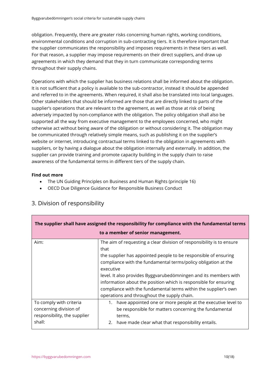obligation. Frequently, there are greater risks concerning human rights, working conditions, environmental conditions and corruption in sub-contracting tiers. It is therefore important that the supplier communicates the responsibility and imposes requirements in these tiers as well. For that reason, a supplier may impose requirements on their direct suppliers, and draw up agreements in which they demand that they in turn communicate corresponding terms throughout their supply chains.

Operations with which the supplier has business relations shall be informed about the obligation. It is not sufficient that a policy is available to the sub-contractor, instead it should be appended and referred to in the agreements. When required, it shall also be translated into local languages. Other stakeholders that should be informed are those that are directly linked to parts of the supplier's operations that are relevant to the agreement, as well as those at risk of being adversely impacted by non-compliance with the obligation. The policy obligation shall also be supported all the way from executive management to the employees concerned, who might otherwise act without being aware of the obligation or without considering it. The obligation may be communicated through relatively simple means, such as publishing it on the supplier's website or internet, introducing contractual terms linked to the obligation in agreements with suppliers, or by having a dialogue about the obligation internally and externally. In addition, the supplier can provide training and promote capacity building in the supply chain to raise awareness of the fundamental terms in different tiers of the supply chain.

#### **Find out more**

- The UN Guiding Principles on Business and Human Rights (principle 16)
- OECD Due Diligence Guidance for Responsible Business Conduct

| The supplier shall have assigned the responsibility for compliance with the fundamental terms |                                                                                                                                                                                                                                                                                                                                                                                                                                                                                           |  |
|-----------------------------------------------------------------------------------------------|-------------------------------------------------------------------------------------------------------------------------------------------------------------------------------------------------------------------------------------------------------------------------------------------------------------------------------------------------------------------------------------------------------------------------------------------------------------------------------------------|--|
| to a member of senior management.                                                             |                                                                                                                                                                                                                                                                                                                                                                                                                                                                                           |  |
| Aim:                                                                                          | The aim of requesting a clear division of responsibility is to ensure<br>that<br>the supplier has appointed people to be responsible of ensuring<br>compliance with the fundamental terms/policy obligation at the<br>executive<br>level. It also provides Byggvarubedömningen and its members with<br>information about the position which is responsible for ensuring<br>compliance with the fundamental terms within the supplier's own<br>operations and throughout the supply chain. |  |
| To comply with criteria<br>concerning division of<br>responsibility, the supplier             | 1. have appointed one or more people at the executive level to<br>be responsible for matters concerning the fundamental<br>terms,                                                                                                                                                                                                                                                                                                                                                         |  |
| shall:                                                                                        | have made clear what that responsibility entails.<br>2.                                                                                                                                                                                                                                                                                                                                                                                                                                   |  |

## <span id="page-9-0"></span>3. Division of responsibility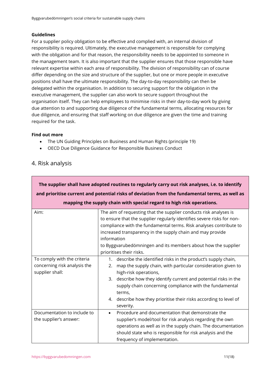#### **Guidelines**

For a supplier policy obligation to be effective and complied with, an internal division of responsibility is required. Ultimately, the executive management is responsible for complying with the obligation and for that reason, the responsibility needs to be appointed to someone in the management team. It is also important that the supplier ensures that those responsible have relevant expertise within each area of responsibility. The division of responsibility can of course differ depending on the size and structure of the supplier, but one or more people in executive positions shall have the ultimate responsibility. The day-to-day responsibility can then be delegated within the organisation. In addition to securing support for the obligation in the executive management, the supplier can also work to secure support throughout the organisation itself. They can help employees to minimise risks in their day-to-day work by giving due attention to and supporting due diligence of the fundamental terms, allocating resources for due diligence, and ensuring that staff working on due diligence are given the time and training required for the task.

#### **Find out more**

- The UN Guiding Principles on Business and Human Rights (principle 19)
- OECD Due Diligence Guidance for Responsible Business Conduct

### <span id="page-10-0"></span>4. Risk analysis

| The supplier shall have adopted routines to regularly carry out risk analyses, i.e. to identify |                                                                                                                                                                                                                                                                                                                                                                                                        |  |  |
|-------------------------------------------------------------------------------------------------|--------------------------------------------------------------------------------------------------------------------------------------------------------------------------------------------------------------------------------------------------------------------------------------------------------------------------------------------------------------------------------------------------------|--|--|
| and prioritise current and potential risks of deviation from the fundamental terms, as well as  |                                                                                                                                                                                                                                                                                                                                                                                                        |  |  |
| mapping the supply chain with special regard to high risk operations.                           |                                                                                                                                                                                                                                                                                                                                                                                                        |  |  |
| Aim:                                                                                            | The aim of requesting that the supplier conducts risk analyses is<br>to ensure that the supplier regularly identifies severe risks for non-<br>compliance with the fundamental terms. Risk analyses contribute to<br>increased transparency in the supply chain and may provide<br>information<br>to Byggvarubedömningen and its members about how the supplier<br>prioritises their risks.            |  |  |
| To comply with the criteria<br>concerning risk analysis the<br>supplier shall:                  | describe the identified risks in the product's supply chain,<br>$1_{\ldots}$<br>map the supply chain, with particular consideration given to<br>2.<br>high-risk operations,<br>3. describe how they identify current and potential risks in the<br>supply chain concerning compliance with the fundamental<br>terms,<br>4. describe how they prioritise their risks according to level of<br>severity. |  |  |
| Documentation to include to<br>the supplier's answer:                                           | Procedure and documentation that demonstrate the<br>$\bullet$<br>supplier's model/tool for risk analysis regarding the own<br>operations as well as in the supply chain. The documentation<br>should state who is responsible for risk analysis and the<br>frequency of implementation.                                                                                                                |  |  |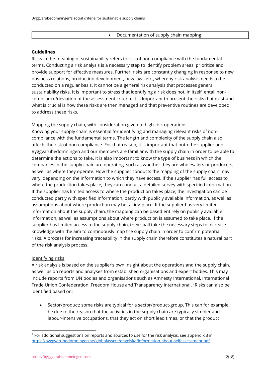• Documentation of supply chain mapping.

#### **Guidelines**

Risks in the meaning of sustainability refers to risk of non-compliance with the fundamental terms. Conducting a risk analysis is a necessary step to identify problem areas, prioritize and provide support for effective measures. Further, risks are constantly changing in response to new business relations, production development, new laws etc., whereby risk analysis needs to be conducted on a regular basis. It cannot be a general risk analysis that processes general sustainability risks. It is important to stress that identifying a risk does not, in itself, entail noncompliance/deviation of the assessment criteria. It is Important to present the risks that exist and what is crucial is how these risks are then managed and that preventive routines are developed to address these risks.

#### Mapping the supply chain, with consideration given to high-risk operations

Knowing your supply chain is essential for identifying and managing relevant risks of noncompliance with the fundamental terms. The length and complexity of the supply chain also affects the risk of non-compliance. For that reason, it is important that both the supplier and Byggvarubedömningen and our members are familiar with the supply chain in order to be able to determine the actions to take. It is also important to know the type of business in which the companies in the supply chain are operating, such as whether they are wholesalers or producers, as well as where they operate. How the supplier conducts the mapping of the supply chain may vary, depending on the information to which they have access. If the supplier has full access to where the production takes place, they can conduct a detailed survey with specified information. If the supplier has limited access to where the production takes place, the investigation can be conducted partly with specified information, partly with publicly available information, as well as assumptions about where production may be taking place. If the supplier has very limited information about the supply chain, the mapping can be based entirely on publicly available information, as well as assumptions about where production is assumed to take place. If the supplier has limited access to the supply chain, they shall take the necessary steps to increase knowledge with the aim to continuously map the supply chain in order to confirm potential risks. A process for increasing traceability in the supply chain therefore constitutes a natural part of the risk analysis process.

#### Identifying risks

A risk analysis is based on the supplier's own insight about the operations and the supply chain, as well as on reports and analyses from established organisations and expert bodies. This may include reports from UN bodies and organisations such as Amnesty International, International Trade Union Confederation, Freedom House and Transparency International. <sup>3</sup> Risks can also be identified based on:

• Sector/product: some risks are typical for a sector/product-group. This can for example be due to the reason that the activities in the supply chain are typically simpler and labour-intensive occupations, that they act on short lead times, or that the product

<sup>&</sup>lt;sup>3</sup> For additional suggestions on reports and sources to use for the risk analysis, see appendix 3 in <https://byggvarubedomningen.se/globalassets/engelska/information-about-selfassessment.pdf>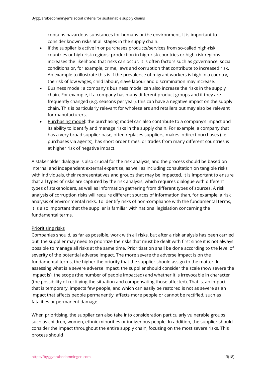contains hazardous substances for humans or the environment. It is important to consider known risks at all stages in the supply chain.

- If the supplier is active in or purchases products/services from so-called high-risk countries or high-risk regions: production in high-risk countries or high-risk regions increases the likelihood that risks can occur. It is often factors such as governance, social conditions or, for example, crime, laws and corruption that contribute to increased risk. An example to illustrate this is if the prevalence of migrant workers is high in a country, the risk of low wages, child labour, slave labour and discrimination may increase.
- Business model: a company's business model can also increase the risks in the supply chain. For example, if a company has many different product groups and if they are frequently changed (e.g. seasons per year), this can have a negative impact on the supply chain. This is particularly relevant for wholesalers and retailers but may also be relevant for manufacturers.
- Purchasing model: the purchasing model can also contribute to a company's impact and its ability to identify and manage risks in the supply chain. For example, a company that has a very broad supplier base, often replaces suppliers, makes indirect purchases (i.e. purchases via agents), has short order times, or trades from many different countries is at higher risk of negative impact.

A stakeholder dialogue is also crucial for the risk analysis, and the process should be based on internal and independent external expertise, as well as including consultation on tangible risks with individuals, their representatives and groups that may be impacted. It is important to ensure that all types of risks are captured by the risk analysis, which requires dialogue with different types of stakeholders, as well as information gathering from different types of sources. A risk analysis of corruption risks will require different sources of information than, for example, a risk analysis of environmental risks. To identify risks of non-compliance with the fundamental terms, it is also important that the supplier is familiar with national legislation concerning the fundamental terms.

#### Prioritising risks

Companies should, as far as possible, work with all risks, but after a risk analysis has been carried out, the supplier may need to prioritize the risks that must be dealt with first since it is not always possible to manage all risks at the same time. Prioritisation shall be done according to the level of severity of the potential adverse impact. The more severe the adverse impact is on the fundamental terms, the higher the priority that the supplier should assign to the matter. In assessing what is a severe adverse impact, the supplier should consider the scale (how severe the impact is), the scope (the number of people impacted) and whether it is irrevocable in character (the possibility of rectifying the situation and compensating those affected). That is, an impact that is temporary, impacts few people, and which can easily be restored is not as severe as an impact that affects people permanently, affects more people or cannot be rectified, such as fatalities or permanent damage.

When prioritising, the supplier can also take into consideration particularly vulnerable groups such as children, women, ethnic minorities or indigenous people. In addition, the supplier should consider the impact throughout the entire supply chain, focusing on the most severe risks. This process should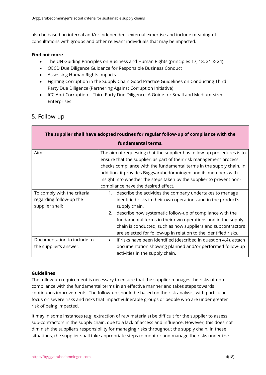also be based on internal and/or independent external expertise and include meaningful consultations with groups and other relevant individuals that may be impacted.

#### **Find out more**

- The UN Guiding Principles on Business and Human Rights (principles 17, 18, 21 & 24)
- OECD Due Diligence Guidance for Responsible Business Conduct
- Assessing Human Rights Impacts
- Fighting Corruption in the Supply Chain Good Practice Guidelines on Conducting Third Party Due Diligence (Partnering Against Corruption Initiative)
- ICC Anti-Corruption Third Party Due Diligence: A Guide for Small and Medium-sized Enterprises

### <span id="page-13-0"></span>5. Follow-up

| The supplier shall have adopted routines for regular follow-up of compliance with the |                                                                                                                                                                                                                                                                                                                                                                                                                |  |  |
|---------------------------------------------------------------------------------------|----------------------------------------------------------------------------------------------------------------------------------------------------------------------------------------------------------------------------------------------------------------------------------------------------------------------------------------------------------------------------------------------------------------|--|--|
| fundamental terms.                                                                    |                                                                                                                                                                                                                                                                                                                                                                                                                |  |  |
| Aim:                                                                                  | The aim of requesting that the supplier has follow-up procedures is to<br>ensure that the supplier, as part of their risk management process,<br>checks compliance with the fundamental terms in the supply chain. In<br>addition, it provides Byggvarubedömningen and its members with<br>insight into whether the steps taken by the supplier to prevent non-<br>compliance have the desired effect.         |  |  |
| To comply with the criteria<br>regarding follow-up the<br>supplier shall:             | 1. describe the activities the company undertakes to manage<br>identified risks in their own operations and in the product's<br>supply chain,<br>2. describe how systematic follow-up of compliance with the<br>fundamental terms in their own operations and in the supply<br>chain is conducted, such as how suppliers and subcontractors<br>are selected for follow-up in relation to the identified risks. |  |  |
| Documentation to include to<br>the supplier's answer:                                 | If risks have been identified (described in question 4.4), attach<br>$\bullet$<br>documentation showing planned and/or performed follow-up<br>activities in the supply chain.                                                                                                                                                                                                                                  |  |  |

#### **Guidelines**

The follow-up requirement is necessary to ensure that the supplier manages the risks of noncompliance with the fundamental terms in an effective manner and takes steps towards continuous improvements. The follow-up should be based on the risk analysis, with particular focus on severe risks and risks that impact vulnerable groups or people who are under greater risk of being impacted.

It may in some instances (e.g. extraction of raw materials) be difficult for the supplier to assess sub-contractors in the supply chain, due to a lack of access and influence. However, this does not diminish the supplier's responsibility for managing risks throughout the supply chain. In these situations, the supplier shall take appropriate steps to monitor and manage the risks under the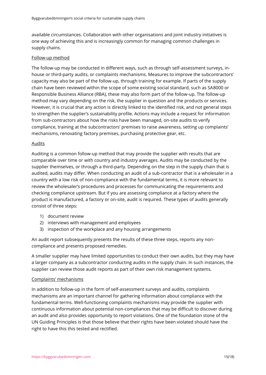available circumstances. Collaboration with other organisations and joint industry initiatives is one way of achieving this and is increasingly common for managing common challenges in supply chains.

#### Follow-up method

The follow-up may be conducted in different ways, such as through self-assessment surveys, inhouse or third-party audits, or complaints mechanisms. Measures to improve the subcontractors' capacity may also be part of the follow-up, through training for example. If parts of the supply chain have been reviewed within the scope of some existing social standard, such as SA8000 or Responsible Business Alliance (RBA), these may also form part of the follow-up. The follow-up method may vary depending on the risk, the supplier in question and the products or services. However, it is crucial that any action is directly linked to the identified risk, and not general steps to strengthen the supplier's sustainability profile. Actions may include a request for information from sub-contractors about how the risks have been managed, on-site audits to verify compliance, training at the subcontractors' premises to raise awareness, setting up complaints' mechanisms, renovating factory premises, purchasing protective gear, etc.

#### **Audits**

Auditing is a common follow-up method that may provide the supplier with results that are comparable over time or with country and industry averages. Audits may be conducted by the supplier themselves, or through a third-party. Depending on the step in the supply chain that is audited, audits may differ. When conducting an audit of a sub-contractor that is a wholesaler in a country with a low risk of non-compliance with the fundamental terms, it is more relevant to review the wholesaler's procedures and processes for communicating the requirements and checking compliance upstream. But if you are assessing compliance at a factory where the product is manufactured, a factory or on-site, audit is required. These types of audits generally consist of three steps:

- 1) document review
- 2) interviews with management and employees
- 3) inspection of the workplace and any housing arrangements

An audit report subsequently presents the results of these three steps, reports any noncompliance and presents proposed remedies.

A smaller supplier may have limited opportunities to conduct their own audits, but they may have a larger company as a subcontractor conducting audits in the supply chain. In such instances, the supplier can review those audit reports as part of their own risk management systems.

#### Complaints' mechanisms

In addition to follow-up in the form of self-assessment surveys and audits, complaints mechanisms are an important channel for gathering information about compliance with the fundamental terms. Well-functioning complaints mechanisms may provide the supplier with continuous information about potential non-compliances that may be difficult to discover during an audit and also provides opportunity to report violations. One of the foundation stone of the UN Guiding Principles is that those believe that their rights have been violated should have the right to have this this tested and rectified.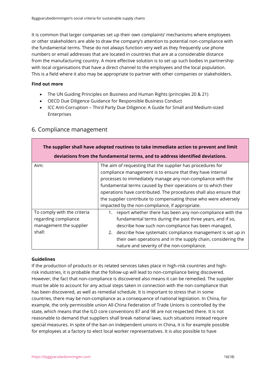It is common that larger companies set up their own complaints' mechanisms where employees or other stakeholders are able to draw the company's attention to potential non-compliance with the fundamental terms. These do not always function very well as they frequently use phone numbers or email addresses that are located in countries that are at a considerable distance from the manufacturing country. A more effective solution is to set up such bodies in partnership with local organisations that have a direct channel to the employees and the local population. This is a field where it also may be appropriate to partner with other companies or stakeholders.

#### **Find out more**

- The UN Guiding Principles on Business and Human Rights (principles 20 & 21)
- OECD Due Diligence Guidance for Responsible Business Conduct
- ICC Anti-Corruption Third Party Due Diligence: A Guide for Small and Medium-sized Enterprises

| The supplier shall have adopted routines to take immediate action to prevent and limit   |                                                                                                                                                                                                                                                                                                                                                                                                                                                        |  |
|------------------------------------------------------------------------------------------|--------------------------------------------------------------------------------------------------------------------------------------------------------------------------------------------------------------------------------------------------------------------------------------------------------------------------------------------------------------------------------------------------------------------------------------------------------|--|
| deviations from the fundamental terms, and to address identified deviations.             |                                                                                                                                                                                                                                                                                                                                                                                                                                                        |  |
| Aim:                                                                                     | The aim of requesting that the supplier has procedures for<br>compliance management is to ensure that they have internal<br>processes to immediately manage any non-compliance with the<br>fundamental terms caused by their operations or to which their<br>operations have contributed. The procedures shall also ensure that<br>the supplier contribute to compensating those who were adversely<br>impacted by the non-compliance, if appropriate. |  |
| To comply with the criteria<br>regarding compliance<br>management the supplier<br>shall: | 1. report whether there has been any non-compliance with the<br>fundamental terms during the past three years, and if so,<br>describe how such non-compliance has been managed,<br>2. describe how systematic compliance management is set up in<br>their own operations and in the supply chain, considering the<br>nature and severity of the non-compliance.                                                                                        |  |

### <span id="page-15-0"></span>6. Compliance management

#### **Guidelines**

If the production of products or its related services takes place in high-risk countries and highrisk industries, it is probable that the follow-up will lead to non-compliance being discovered. However, the fact that non-compliance is discovered also means it can be remedied. The supplier must be able to account for any actual steps taken in connection with the non-compliance that has been discovered, as well as remedial schedule. It is important to stress that in some countries, there may be non-compliance as a consequence of national legislation. In China, for example, the only permissible union All-China Federation of Trade Unions is controlled by the state, which means that the ILO core conventions 87 and 98 are not respected there. It is not reasonable to demand that suppliers shall break national laws, such situations instead require special measures. In spite of the ban on independent unions in China, it is for example possible for employees at a factory to elect local worker representatives. It is also possible to have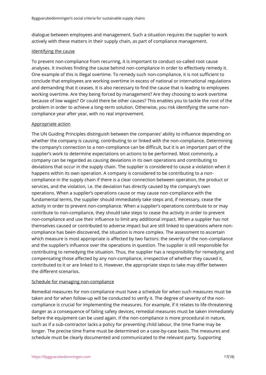dialogue between employees and management. Such a situation requires the supplier to work actively with these matters in their supply chain, as part of compliance management.

#### Identifying the cause

To prevent non-compliance from recurring, it is important to conduct so-called root cause analyses. It involves finding the cause behind non-compliance in order to effectively remedy it. One example of this is illegal overtime. To remedy such non-compliance, it is not sufficient to conclude that employees are working overtime in excess of national or international regulations and demanding that it ceases. It is also necessary to find the cause that is leading to employees working overtime. Are they being forced by management? Are they choosing to work overtime because of low wages? Or could there be other causes? This enables you to tackle the root of the problem in order to achieve a long-term solution. Otherwise, you risk identifying the same noncompliance year after year, with no real improvement.

#### Appropriate action

The UN Guiding Principles distinguish between the companies' ability to influence depending on whether the company is causing, contributing to or linked with the non-compliance. Determining the company's connection to a non-compliance can be difficult, but it is an important part of the supplier's work to determine expectations on actions to be performed. Most commonly, a company can be regarded as causing deviations in its own operations and contributing to deviations that occur in the supply chain. The supplier is considered to cause a violation when it happens within its own operation. A company is considered to be contributing to a noncompliance in the supply chain if there is a clear connection between operation, the product or services, and the violation, i.e. the deviation has directly caused by the company's own operations. When a supplier's operations cause or may cause non-compliance with the fundamental terms, the supplier should immediately take steps and, if necessary, cease the activity in order to prevent non-compliance. When a supplier's operations contribute to or may contribute to non-compliance, they should take steps to cease the activity in order to prevent non-compliance and use their influence to limit any additional impact. When a supplier has not themselves caused or contributed to adverse impact but are still linked to operations where noncompliance has been discovered, the situation is more complex. The assessment to ascertain which measure is most appropriate is affected by two factors: the severity of the non-compliance and the supplier's influence over the operations in question. The supplier is still responsible for contributing to remedying the situation. Thus, the supplier has a responsibility for remedying and compensating those affected by any non-compliance, irrespective of whether they caused it, contributed to it or are linked to it. However, the appropriate steps to take may differ between the different scenarios.

#### Schedule for managing non-compliance

Remedial measures for non-compliance must have a schedule for when such measures must be taken and for when follow-up will be conducted to verify it. The degree of severity of the noncompliance is crucial for implementing the measures. For example, if it relates to life-threatening danger as a consequence of failing safety devices, remedial measures must be taken immediately before the equipment can be used again. If the non-compliance is more procedural in nature, such as if a sub-contractor lacks a policy for preventing child labour, the time frame may be longer. The precise time frame must be determined on a case-by-case basis. The measures and schedule must be clearly documented and communicated to the relevant party. Supporting